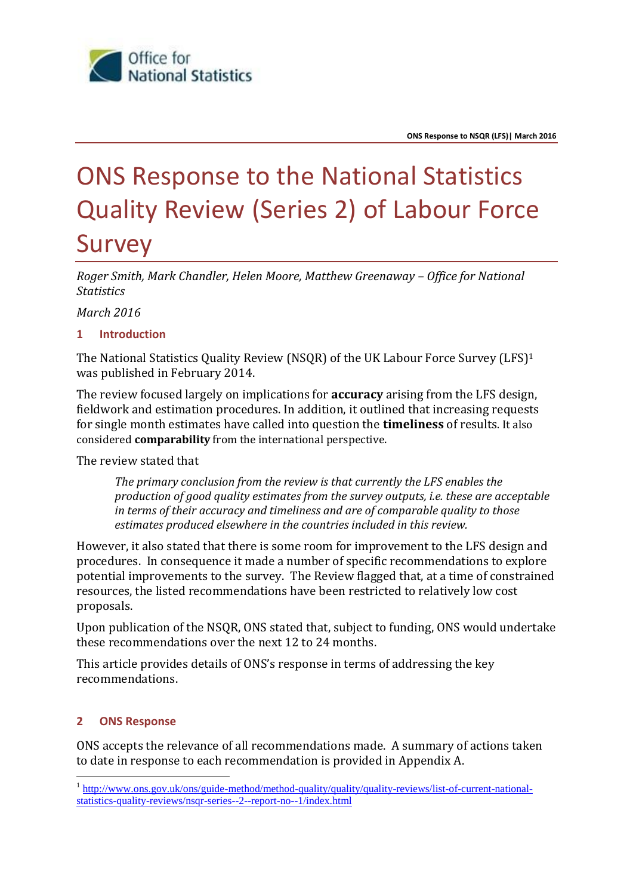

## ONS Response to the National Statistics Quality Review (Series 2) of Labour Force Survey

*Roger Smith, Mark Chandler, Helen Moore, Matthew Greenaway – Office for National Statistics*

*March 2016*

## **1 Introduction**

The National Statistics Quality Review (NSQR) of the UK Labour Force Survey (LFS)<sup>1</sup> was published in February 2014.

The review focused largely on implications for **accuracy** arising from the LFS design, fieldwork and estimation procedures. In addition, it outlined that increasing requests for single month estimates have called into question the **timeliness** of results. It also considered **comparability** from the international perspective.

The review stated that

*The primary conclusion from the review is that currently the LFS enables the production of good quality estimates from the survey outputs, i.e. these are acceptable in terms of their accuracy and timeliness and are of comparable quality to those estimates produced elsewhere in the countries included in this review.*

However, it also stated that there is some room for improvement to the LFS design and procedures. In consequence it made a number of specific recommendations to explore potential improvements to the survey. The Review flagged that, at a time of constrained resources, the listed recommendations have been restricted to relatively low cost proposals.

Upon publication of the NSQR, ONS stated that, subject to funding, ONS would undertake these recommendations over the next 12 to 24 months.

This article provides details of ONS's response in terms of addressing the key recommendations.

## **2 ONS Response**

<u>.</u>

ONS accepts the relevance of all recommendations made. A summary of actions taken to date in response to each recommendation is provided in Appendix A.

<sup>&</sup>lt;sup>1</sup> [http://www.ons.gov.uk/ons/guide-method/method-quality/quality/quality-reviews/list-of-current-national](http://www.ons.gov.uk/ons/guide-method/method-quality/quality/quality-reviews/list-of-current-national-statistics-quality-reviews/nsqr-series--2--report-no--1/index.html)[statistics-quality-reviews/nsqr-series--2--report-no--1/index.html](http://www.ons.gov.uk/ons/guide-method/method-quality/quality/quality-reviews/list-of-current-national-statistics-quality-reviews/nsqr-series--2--report-no--1/index.html)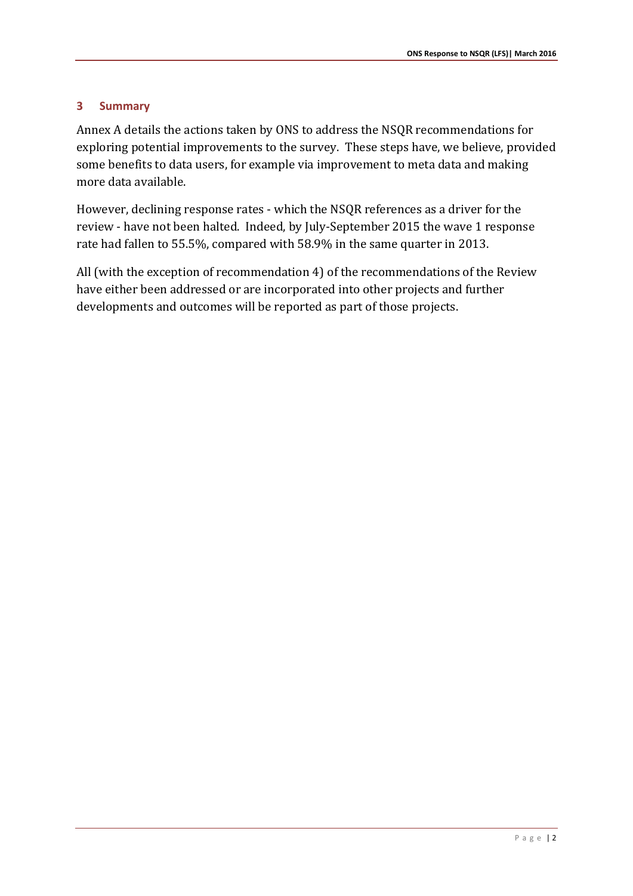## **3 Summary**

Annex A details the actions taken by ONS to address the NSQR recommendations for exploring potential improvements to the survey. These steps have, we believe, provided some benefits to data users, for example via improvement to meta data and making more data available.

However, declining response rates - which the NSQR references as a driver for the review - have not been halted. Indeed, by July-September 2015 the wave 1 response rate had fallen to 55.5%, compared with 58.9% in the same quarter in 2013.

All (with the exception of recommendation 4) of the recommendations of the Review have either been addressed or are incorporated into other projects and further developments and outcomes will be reported as part of those projects.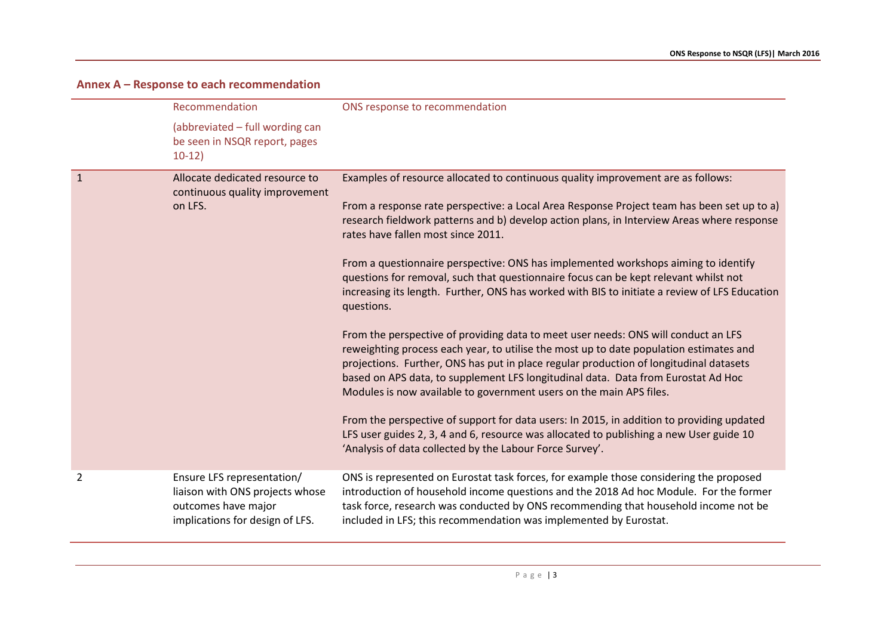| Annex A - Response to each recommendation |                                                                                                                         |                                                                                                                                                                                                                                                                                                                                                                                                                                                                                                                                                                                                                                                                                                                                                                                                                                                                                                                                                                                                                                                                                                                                                                                                                                                                                                           |
|-------------------------------------------|-------------------------------------------------------------------------------------------------------------------------|-----------------------------------------------------------------------------------------------------------------------------------------------------------------------------------------------------------------------------------------------------------------------------------------------------------------------------------------------------------------------------------------------------------------------------------------------------------------------------------------------------------------------------------------------------------------------------------------------------------------------------------------------------------------------------------------------------------------------------------------------------------------------------------------------------------------------------------------------------------------------------------------------------------------------------------------------------------------------------------------------------------------------------------------------------------------------------------------------------------------------------------------------------------------------------------------------------------------------------------------------------------------------------------------------------------|
|                                           | Recommendation                                                                                                          | ONS response to recommendation                                                                                                                                                                                                                                                                                                                                                                                                                                                                                                                                                                                                                                                                                                                                                                                                                                                                                                                                                                                                                                                                                                                                                                                                                                                                            |
|                                           | (abbreviated - full wording can<br>be seen in NSQR report, pages<br>$10-12)$                                            |                                                                                                                                                                                                                                                                                                                                                                                                                                                                                                                                                                                                                                                                                                                                                                                                                                                                                                                                                                                                                                                                                                                                                                                                                                                                                                           |
| $\overline{1}$                            | Allocate dedicated resource to<br>continuous quality improvement<br>on LFS.                                             | Examples of resource allocated to continuous quality improvement are as follows:<br>From a response rate perspective: a Local Area Response Project team has been set up to a)<br>research fieldwork patterns and b) develop action plans, in Interview Areas where response<br>rates have fallen most since 2011.<br>From a questionnaire perspective: ONS has implemented workshops aiming to identify<br>questions for removal, such that questionnaire focus can be kept relevant whilst not<br>increasing its length. Further, ONS has worked with BIS to initiate a review of LFS Education<br>questions.<br>From the perspective of providing data to meet user needs: ONS will conduct an LFS<br>reweighting process each year, to utilise the most up to date population estimates and<br>projections. Further, ONS has put in place regular production of longitudinal datasets<br>based on APS data, to supplement LFS longitudinal data. Data from Eurostat Ad Hoc<br>Modules is now available to government users on the main APS files.<br>From the perspective of support for data users: In 2015, in addition to providing updated<br>LFS user guides 2, 3, 4 and 6, resource was allocated to publishing a new User guide 10<br>'Analysis of data collected by the Labour Force Survey'. |
| 2                                         | Ensure LFS representation/<br>liaison with ONS projects whose<br>outcomes have major<br>implications for design of LFS. | ONS is represented on Eurostat task forces, for example those considering the proposed<br>introduction of household income questions and the 2018 Ad hoc Module. For the former<br>task force, research was conducted by ONS recommending that household income not be<br>included in LFS; this recommendation was implemented by Eurostat.                                                                                                                                                                                                                                                                                                                                                                                                                                                                                                                                                                                                                                                                                                                                                                                                                                                                                                                                                               |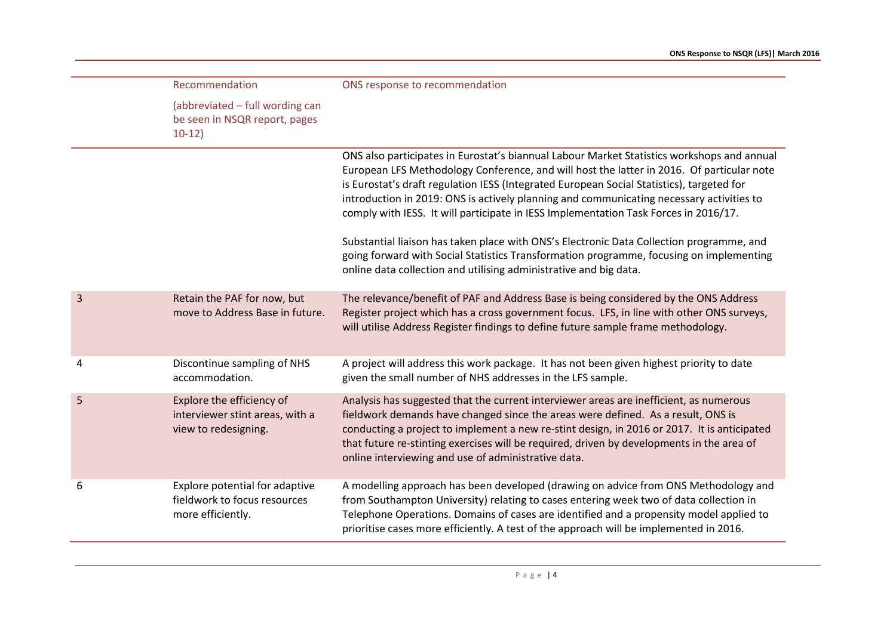|   | Recommendation                                                                       | ONS response to recommendation                                                                                                                                                                                                                                                                                                                                                                                                                                           |
|---|--------------------------------------------------------------------------------------|--------------------------------------------------------------------------------------------------------------------------------------------------------------------------------------------------------------------------------------------------------------------------------------------------------------------------------------------------------------------------------------------------------------------------------------------------------------------------|
|   | (abbreviated - full wording can<br>be seen in NSQR report, pages<br>$10-12)$         |                                                                                                                                                                                                                                                                                                                                                                                                                                                                          |
|   |                                                                                      | ONS also participates in Eurostat's biannual Labour Market Statistics workshops and annual<br>European LFS Methodology Conference, and will host the latter in 2016. Of particular note<br>is Eurostat's draft regulation IESS (Integrated European Social Statistics), targeted for<br>introduction in 2019: ONS is actively planning and communicating necessary activities to<br>comply with IESS. It will participate in IESS Implementation Task Forces in 2016/17. |
|   |                                                                                      | Substantial liaison has taken place with ONS's Electronic Data Collection programme, and<br>going forward with Social Statistics Transformation programme, focusing on implementing<br>online data collection and utilising administrative and big data.                                                                                                                                                                                                                 |
| 3 | Retain the PAF for now, but<br>move to Address Base in future.                       | The relevance/benefit of PAF and Address Base is being considered by the ONS Address<br>Register project which has a cross government focus. LFS, in line with other ONS surveys,<br>will utilise Address Register findings to define future sample frame methodology.                                                                                                                                                                                                   |
| 4 | Discontinue sampling of NHS<br>accommodation.                                        | A project will address this work package. It has not been given highest priority to date<br>given the small number of NHS addresses in the LFS sample.                                                                                                                                                                                                                                                                                                                   |
| 5 | Explore the efficiency of<br>interviewer stint areas, with a<br>view to redesigning. | Analysis has suggested that the current interviewer areas are inefficient, as numerous<br>fieldwork demands have changed since the areas were defined. As a result, ONS is<br>conducting a project to implement a new re-stint design, in 2016 or 2017. It is anticipated<br>that future re-stinting exercises will be required, driven by developments in the area of<br>online interviewing and use of administrative data.                                            |
| 6 | Explore potential for adaptive<br>fieldwork to focus resources<br>more efficiently.  | A modelling approach has been developed (drawing on advice from ONS Methodology and<br>from Southampton University) relating to cases entering week two of data collection in<br>Telephone Operations. Domains of cases are identified and a propensity model applied to<br>prioritise cases more efficiently. A test of the approach will be implemented in 2016.                                                                                                       |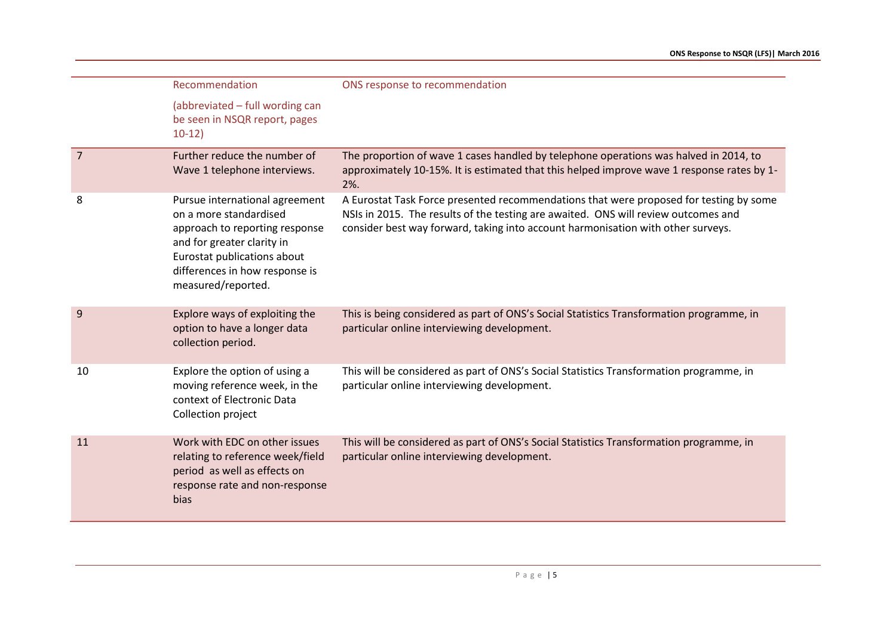|                | Recommendation                                                                                                                                                                                                  | ONS response to recommendation                                                                                                                                                                                                                                   |
|----------------|-----------------------------------------------------------------------------------------------------------------------------------------------------------------------------------------------------------------|------------------------------------------------------------------------------------------------------------------------------------------------------------------------------------------------------------------------------------------------------------------|
|                | (abbreviated - full wording can<br>be seen in NSQR report, pages<br>$10-12)$                                                                                                                                    |                                                                                                                                                                                                                                                                  |
| $\overline{7}$ | Further reduce the number of<br>Wave 1 telephone interviews.                                                                                                                                                    | The proportion of wave 1 cases handled by telephone operations was halved in 2014, to<br>approximately 10-15%. It is estimated that this helped improve wave 1 response rates by 1-<br>2%.                                                                       |
| 8              | Pursue international agreement<br>on a more standardised<br>approach to reporting response<br>and for greater clarity in<br>Eurostat publications about<br>differences in how response is<br>measured/reported. | A Eurostat Task Force presented recommendations that were proposed for testing by some<br>NSIs in 2015. The results of the testing are awaited. ONS will review outcomes and<br>consider best way forward, taking into account harmonisation with other surveys. |
| 9              | Explore ways of exploiting the<br>option to have a longer data<br>collection period.                                                                                                                            | This is being considered as part of ONS's Social Statistics Transformation programme, in<br>particular online interviewing development.                                                                                                                          |
| 10             | Explore the option of using a<br>moving reference week, in the<br>context of Electronic Data<br>Collection project                                                                                              | This will be considered as part of ONS's Social Statistics Transformation programme, in<br>particular online interviewing development.                                                                                                                           |
| 11             | Work with EDC on other issues<br>relating to reference week/field<br>period as well as effects on<br>response rate and non-response<br><b>bias</b>                                                              | This will be considered as part of ONS's Social Statistics Transformation programme, in<br>particular online interviewing development.                                                                                                                           |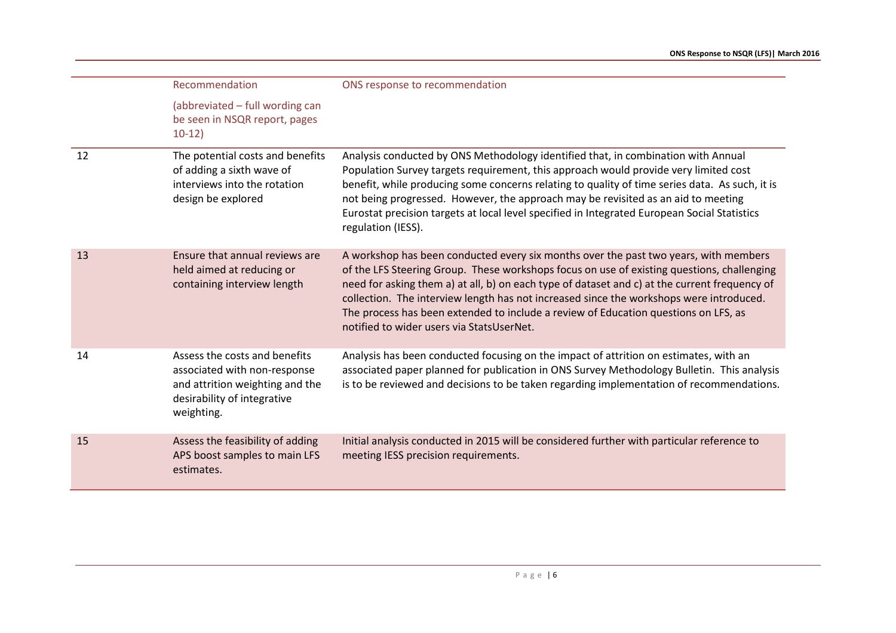|    | Recommendation                                                                                                                                | ONS response to recommendation                                                                                                                                                                                                                                                                                                                                                                                                                                                                                     |
|----|-----------------------------------------------------------------------------------------------------------------------------------------------|--------------------------------------------------------------------------------------------------------------------------------------------------------------------------------------------------------------------------------------------------------------------------------------------------------------------------------------------------------------------------------------------------------------------------------------------------------------------------------------------------------------------|
|    | (abbreviated - full wording can<br>be seen in NSQR report, pages<br>$10-12)$                                                                  |                                                                                                                                                                                                                                                                                                                                                                                                                                                                                                                    |
| 12 | The potential costs and benefits<br>of adding a sixth wave of<br>interviews into the rotation<br>design be explored                           | Analysis conducted by ONS Methodology identified that, in combination with Annual<br>Population Survey targets requirement, this approach would provide very limited cost<br>benefit, while producing some concerns relating to quality of time series data. As such, it is<br>not being progressed. However, the approach may be revisited as an aid to meeting<br>Eurostat precision targets at local level specified in Integrated European Social Statistics<br>regulation (IESS).                             |
| 13 | Ensure that annual reviews are<br>held aimed at reducing or<br>containing interview length                                                    | A workshop has been conducted every six months over the past two years, with members<br>of the LFS Steering Group. These workshops focus on use of existing questions, challenging<br>need for asking them a) at all, b) on each type of dataset and c) at the current frequency of<br>collection. The interview length has not increased since the workshops were introduced.<br>The process has been extended to include a review of Education questions on LFS, as<br>notified to wider users via StatsUserNet. |
| 14 | Assess the costs and benefits<br>associated with non-response<br>and attrition weighting and the<br>desirability of integrative<br>weighting. | Analysis has been conducted focusing on the impact of attrition on estimates, with an<br>associated paper planned for publication in ONS Survey Methodology Bulletin. This analysis<br>is to be reviewed and decisions to be taken regarding implementation of recommendations.                                                                                                                                                                                                                                    |
| 15 | Assess the feasibility of adding<br>APS boost samples to main LFS<br>estimates.                                                               | Initial analysis conducted in 2015 will be considered further with particular reference to<br>meeting IESS precision requirements.                                                                                                                                                                                                                                                                                                                                                                                 |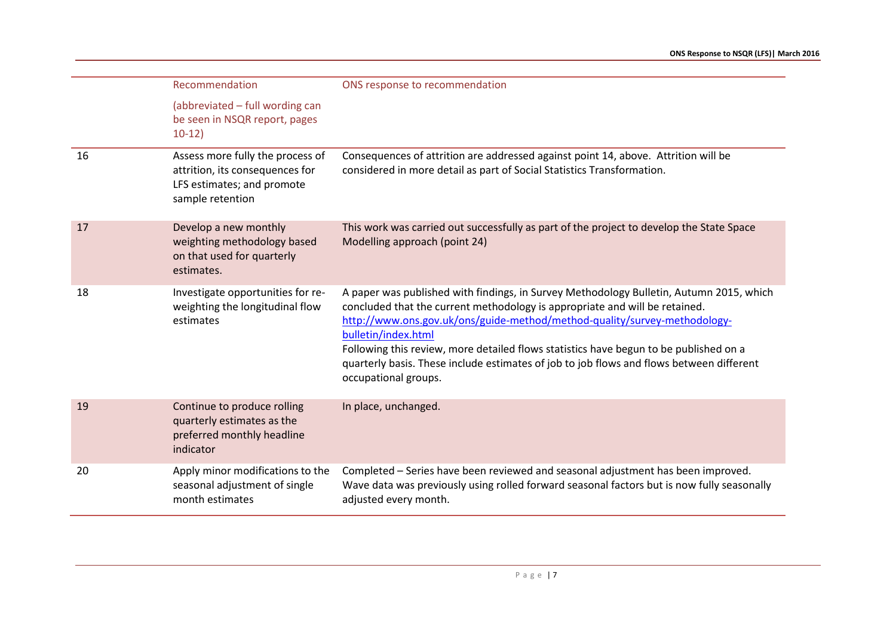|    | Recommendation                                                                                                        | ONS response to recommendation                                                                                                                                                                                                                                                                                                                                                                                                                                                          |
|----|-----------------------------------------------------------------------------------------------------------------------|-----------------------------------------------------------------------------------------------------------------------------------------------------------------------------------------------------------------------------------------------------------------------------------------------------------------------------------------------------------------------------------------------------------------------------------------------------------------------------------------|
|    | (abbreviated - full wording can<br>be seen in NSQR report, pages<br>$10-12)$                                          |                                                                                                                                                                                                                                                                                                                                                                                                                                                                                         |
| 16 | Assess more fully the process of<br>attrition, its consequences for<br>LFS estimates; and promote<br>sample retention | Consequences of attrition are addressed against point 14, above. Attrition will be<br>considered in more detail as part of Social Statistics Transformation.                                                                                                                                                                                                                                                                                                                            |
| 17 | Develop a new monthly<br>weighting methodology based<br>on that used for quarterly<br>estimates.                      | This work was carried out successfully as part of the project to develop the State Space<br>Modelling approach (point 24)                                                                                                                                                                                                                                                                                                                                                               |
| 18 | Investigate opportunities for re-<br>weighting the longitudinal flow<br>estimates                                     | A paper was published with findings, in Survey Methodology Bulletin, Autumn 2015, which<br>concluded that the current methodology is appropriate and will be retained.<br>http://www.ons.gov.uk/ons/guide-method/method-quality/survey-methodology-<br>bulletin/index.html<br>Following this review, more detailed flows statistics have begun to be published on a<br>quarterly basis. These include estimates of job to job flows and flows between different<br>occupational groups. |
| 19 | Continue to produce rolling<br>quarterly estimates as the<br>preferred monthly headline<br>indicator                  | In place, unchanged.                                                                                                                                                                                                                                                                                                                                                                                                                                                                    |
| 20 | Apply minor modifications to the<br>seasonal adjustment of single<br>month estimates                                  | Completed - Series have been reviewed and seasonal adjustment has been improved.<br>Wave data was previously using rolled forward seasonal factors but is now fully seasonally<br>adjusted every month.                                                                                                                                                                                                                                                                                 |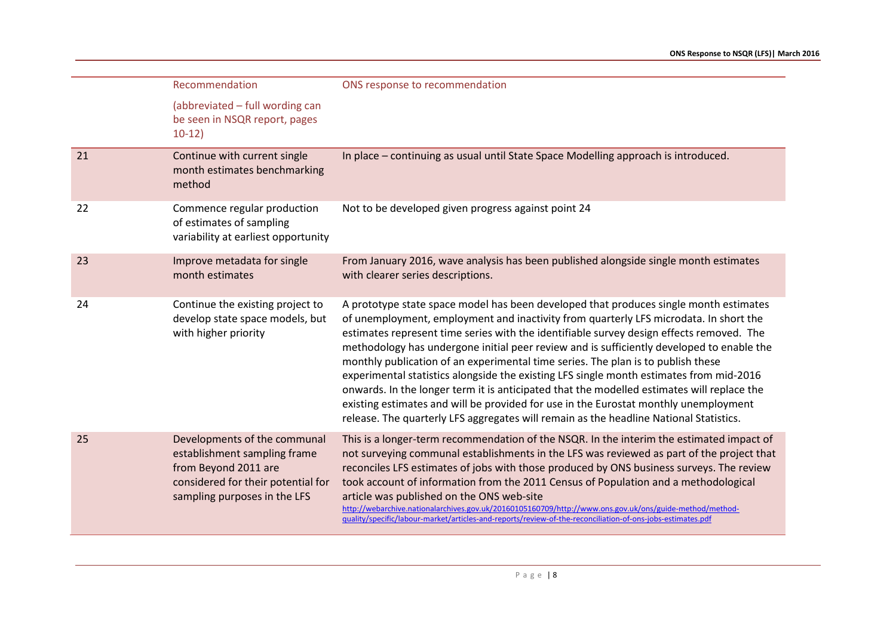|    | Recommendation                                                                                                                                             | ONS response to recommendation                                                                                                                                                                                                                                                                                                                                                                                                                                                                                                                                                                                                                                                                                                                                                                                                         |
|----|------------------------------------------------------------------------------------------------------------------------------------------------------------|----------------------------------------------------------------------------------------------------------------------------------------------------------------------------------------------------------------------------------------------------------------------------------------------------------------------------------------------------------------------------------------------------------------------------------------------------------------------------------------------------------------------------------------------------------------------------------------------------------------------------------------------------------------------------------------------------------------------------------------------------------------------------------------------------------------------------------------|
|    | (abbreviated - full wording can<br>be seen in NSQR report, pages<br>$10-12)$                                                                               |                                                                                                                                                                                                                                                                                                                                                                                                                                                                                                                                                                                                                                                                                                                                                                                                                                        |
| 21 | Continue with current single<br>month estimates benchmarking<br>method                                                                                     | In place - continuing as usual until State Space Modelling approach is introduced.                                                                                                                                                                                                                                                                                                                                                                                                                                                                                                                                                                                                                                                                                                                                                     |
| 22 | Commence regular production<br>of estimates of sampling<br>variability at earliest opportunity                                                             | Not to be developed given progress against point 24                                                                                                                                                                                                                                                                                                                                                                                                                                                                                                                                                                                                                                                                                                                                                                                    |
| 23 | Improve metadata for single<br>month estimates                                                                                                             | From January 2016, wave analysis has been published alongside single month estimates<br>with clearer series descriptions.                                                                                                                                                                                                                                                                                                                                                                                                                                                                                                                                                                                                                                                                                                              |
| 24 | Continue the existing project to<br>develop state space models, but<br>with higher priority                                                                | A prototype state space model has been developed that produces single month estimates<br>of unemployment, employment and inactivity from quarterly LFS microdata. In short the<br>estimates represent time series with the identifiable survey design effects removed. The<br>methodology has undergone initial peer review and is sufficiently developed to enable the<br>monthly publication of an experimental time series. The plan is to publish these<br>experimental statistics alongside the existing LFS single month estimates from mid-2016<br>onwards. In the longer term it is anticipated that the modelled estimates will replace the<br>existing estimates and will be provided for use in the Eurostat monthly unemployment<br>release. The quarterly LFS aggregates will remain as the headline National Statistics. |
| 25 | Developments of the communal<br>establishment sampling frame<br>from Beyond 2011 are<br>considered for their potential for<br>sampling purposes in the LFS | This is a longer-term recommendation of the NSQR. In the interim the estimated impact of<br>not surveying communal establishments in the LFS was reviewed as part of the project that<br>reconciles LFS estimates of jobs with those produced by ONS business surveys. The review<br>took account of information from the 2011 Census of Population and a methodological<br>article was published on the ONS web-site<br>http://webarchive.nationalarchives.gov.uk/20160105160709/http://www.ons.gov.uk/ons/guide-method/method-<br>guality/specific/labour-market/articles-and-reports/review-of-the-reconciliation-of-ons-jobs-estimates.pdf                                                                                                                                                                                         |